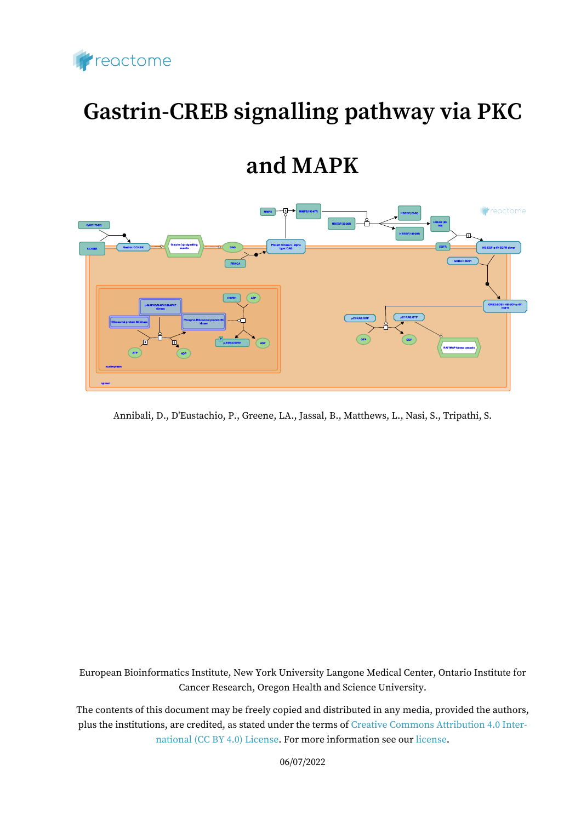

# **Gastrin-CREB signalling pathway via PKC**

# **and MAPK**



Annibali, D., D'Eustachio, P., Greene, LA., Jassal, B., Matthews, L., Nasi, S., Tripathi, S.

European Bioinformatics Institute, New York University Langone Medical Center, Ontario Institute for Cancer Research, Oregon Health and Science University.

The contents of this document may be freely copied and distributed in any media, provided the authors, plus the institutions, are credited, as stated under the terms of [Creative Commons Attribution 4.0 Inter](https://creativecommons.org/licenses/by/4.0/)[national \(CC BY 4.0\) License](https://creativecommons.org/licenses/by/4.0/). For more information see our [license](https://reactome.org/license).

06/07/2022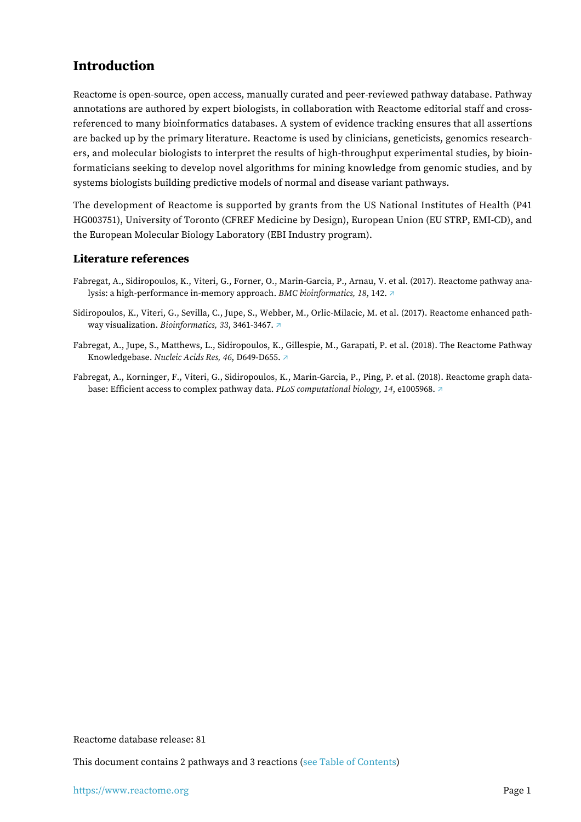# <span id="page-1-0"></span>**Introduction**

Reactome is open-source, open access, manually curated and peer-reviewed pathway database. Pathway annotations are authored by expert biologists, in collaboration with Reactome editorial staff and crossreferenced to many bioinformatics databases. A system of evidence tracking ensures that all assertions are backed up by the primary literature. Reactome is used by clinicians, geneticists, genomics researchers, and molecular biologists to interpret the results of high-throughput experimental studies, by bioinformaticians seeking to develop novel algorithms for mining knowledge from genomic studies, and by systems biologists building predictive models of normal and disease variant pathways.

The development of Reactome is supported by grants from the US National Institutes of Health (P41 HG003751), University of Toronto (CFREF Medicine by Design), European Union (EU STRP, EMI-CD), and the European Molecular Biology Laboratory (EBI Industry program).

## **Literature references**

- Fabregat, A., Sidiropoulos, K., Viteri, G., Forner, O., Marin-Garcia, P., Arnau, V. et al. (2017). Reactome pathway analysis: a high-performance in-memory approach. *BMC bioinformatics, 18*, 142. [↗](http://www.ncbi.nlm.nih.gov/pubmed/28249561)
- Sidiropoulos, K., Viteri, G., Sevilla, C., Jupe, S., Webber, M., Orlic-Milacic, M. et al. (2017). Reactome enhanced pathway visualization. *Bioinformatics, 33*, 3461-3467. [↗](http://www.ncbi.nlm.nih.gov/pubmed/29077811)
- Fabregat, A., Jupe, S., Matthews, L., Sidiropoulos, K., Gillespie, M., Garapati, P. et al. (2018). The Reactome Pathway Knowledgebase. *Nucleic Acids Res, 46*, D649-D655. [↗](http://www.ncbi.nlm.nih.gov/pubmed/29145629)
- Fabregat, A., Korninger, F., Viteri, G., Sidiropoulos, K., Marin-Garcia, P., Ping, P. et al. (2018). Reactome graph database: Efficient access to complex pathway data. *PLoS computational biology, 14*, e1005968. [↗](http://www.ncbi.nlm.nih.gov/pubmed/29377902)

Reactome database release: 81

This document contains 2 pathways and 3 reactions [\(see Table of Contents\)](#page-8-0)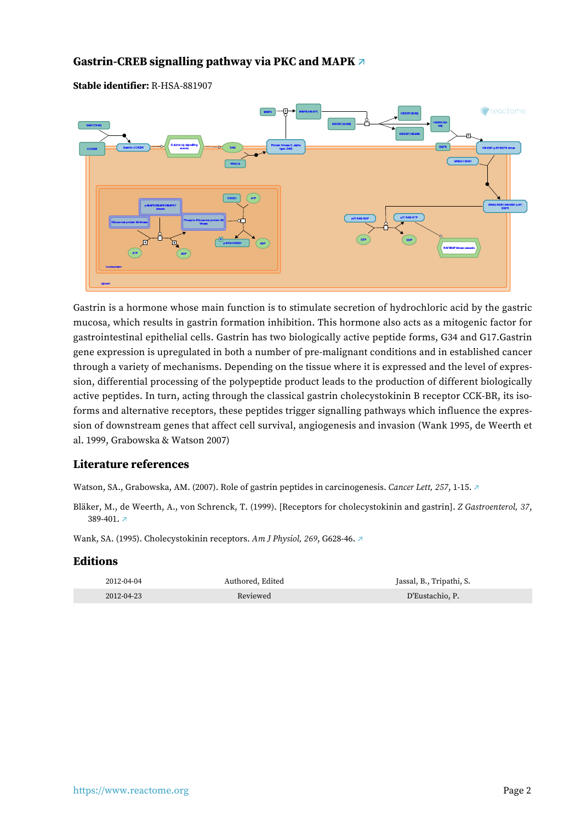# <span id="page-2-0"></span>**Gastrin-CREB signalling pathway via PKC and MAPK [↗](https://www.reactome.org/content/detail/R-HSA-881907)**

#### **Stable identifier:** R-HSA-881907



Gastrin is a hormone whose main function is to stimulate secretion of hydrochloric acid by the gastric mucosa, which results in gastrin formation inhibition. This hormone also acts as a mitogenic factor for gastrointestinal epithelial cells. Gastrin has two biologically active peptide forms, G34 and G17.Gastrin gene expression is upregulated in both a number of pre-malignant conditions and in established cancer through a variety of mechanisms. Depending on the tissue where it is expressed and the level of expression, differential processing of the polypeptide product leads to the production of different biologically active peptides. In turn, acting through the classical gastrin cholecystokinin B receptor CCK-BR, its isoforms and alternative receptors, these peptides trigger signalling pathways which influence the expression of downstream genes that affect cell survival, angiogenesis and invasion (Wank 1995, de Weerth et al. 1999, Grabowska & Watson 2007)

# **Literature references**

Watson, SA., Grabowska, AM. (2007). Role of gastrin peptides in carcinogenesis. *Cancer Lett, 257*, 1-15. [↗](http://www.ncbi.nlm.nih.gov/pubmed/17698287)

Bläker, M., de Weerth, A., von Schrenck, T. (1999). [Receptors for cholecystokinin and gastrin]. *Z Gastroenterol, 37*, 389-401. [↗](http://www.ncbi.nlm.nih.gov/pubmed/10413847)

Wank, SA. (1995). Cholecystokinin receptors. *Am J Physiol, 269*, G628-46. [↗](http://www.ncbi.nlm.nih.gov/pubmed/7491953)

| 2012-04-04 | Authored, Edited | Jassal, B., Tripathi, S. |
|------------|------------------|--------------------------|
| 2012-04-23 | Reviewed         | D'Eustachio, P.          |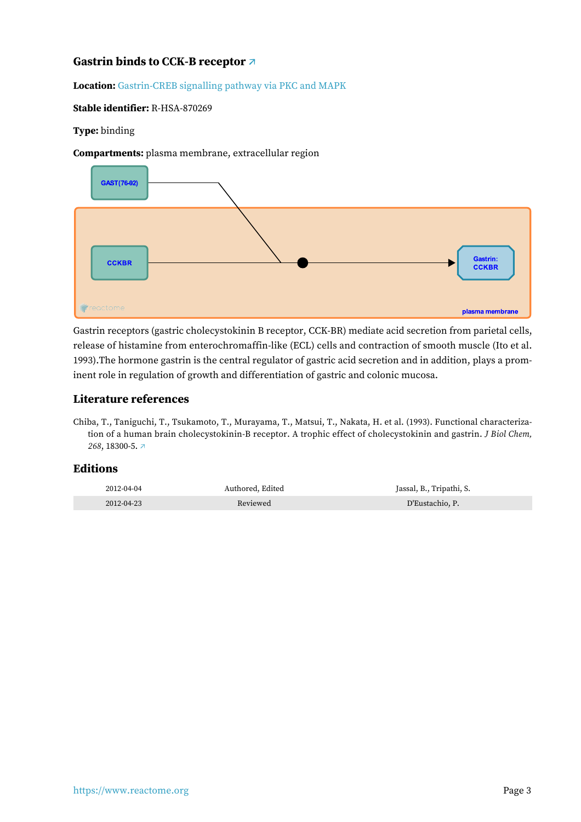# <span id="page-3-0"></span>**Gastrin binds to CCK-B receptor [↗](https://www.reactome.org/content/detail/R-HSA-870269)**

#### **Location:** [Gastrin-CREB signalling pathway via PKC and MAPK](#page-2-0)

#### **Stable identifier:** R-HSA-870269

#### **Type:** binding

**Compartments:** plasma membrane, extracellular region



Gastrin receptors (gastric cholecystokinin B receptor, CCK-BR) mediate acid secretion from parietal cells, release of histamine from enterochromaffin-like (ECL) cells and contraction of smooth muscle (Ito et al. 1993).The hormone gastrin is the central regulator of gastric acid secretion and in addition, plays a prominent role in regulation of growth and differentiation of gastric and colonic mucosa.

## **Literature references**

Chiba, T., Taniguchi, T., Tsukamoto, T., Murayama, T., Matsui, T., Nakata, H. et al. (1993). Functional characterization of a human brain cholecystokinin-B receptor. A trophic effect of cholecystokinin and gastrin. *J Biol Chem, 268*, 18300-5. [↗](http://www.ncbi.nlm.nih.gov/pubmed/8349705)

| 2012-04-04 | Authored. Edited | Jassal, B., Tripathi, S. |
|------------|------------------|--------------------------|
| 2012-04-23 | Reviewed         | D'Eustachio, P.          |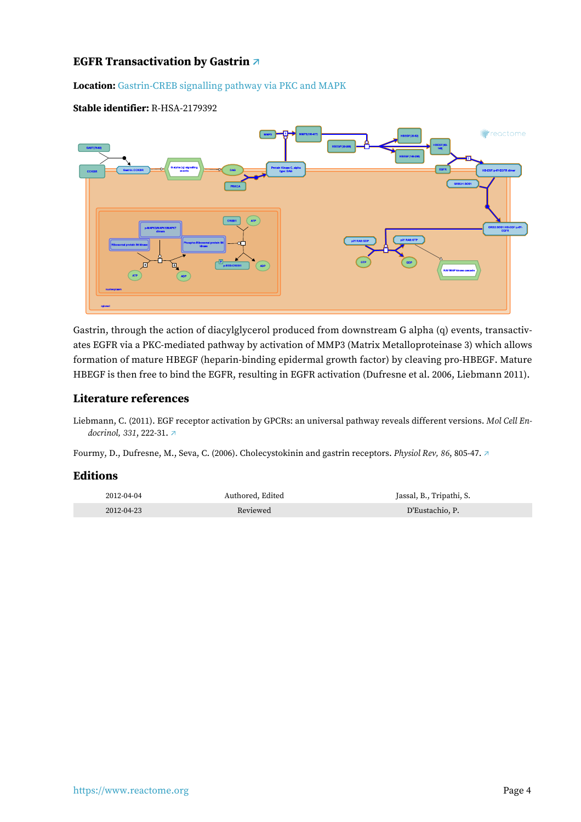# <span id="page-4-0"></span>**EGFR Transactivation by Gastrin [↗](https://www.reactome.org/content/detail/R-HSA-2179392)**

**Location:** [Gastrin-CREB signalling pathway via PKC and MAPK](#page-2-0)

#### **Stable identifier:** R-HSA-2179392



Gastrin, through the action of diacylglycerol produced from downstream G alpha (q) events, transactivates EGFR via a PKC-mediated pathway by activation of MMP3 (Matrix Metalloproteinase 3) which allows formation of mature HBEGF (heparin-binding epidermal growth factor) by cleaving pro-HBEGF. Mature HBEGF is then free to bind the EGFR, resulting in EGFR activation (Dufresne et al. 2006, Liebmann 2011).

#### **Literature references**

Liebmann, C. (2011). EGF receptor activation by GPCRs: an universal pathway reveals different versions. *Mol Cell Endocrinol, 331*, 222-31. [↗](http://www.ncbi.nlm.nih.gov/pubmed/20398727)

Fourmy, D., Dufresne, M., Seva, C. (2006). Cholecystokinin and gastrin receptors. *Physiol Rev, 86*, 805-47. [↗](http://www.ncbi.nlm.nih.gov/pubmed/16816139)

| 2012-04-04 | Authored. Edited | Jassal, B., Tripathi, S. |
|------------|------------------|--------------------------|
| 2012-04-23 | Reviewed         | D'Eustachio, P.          |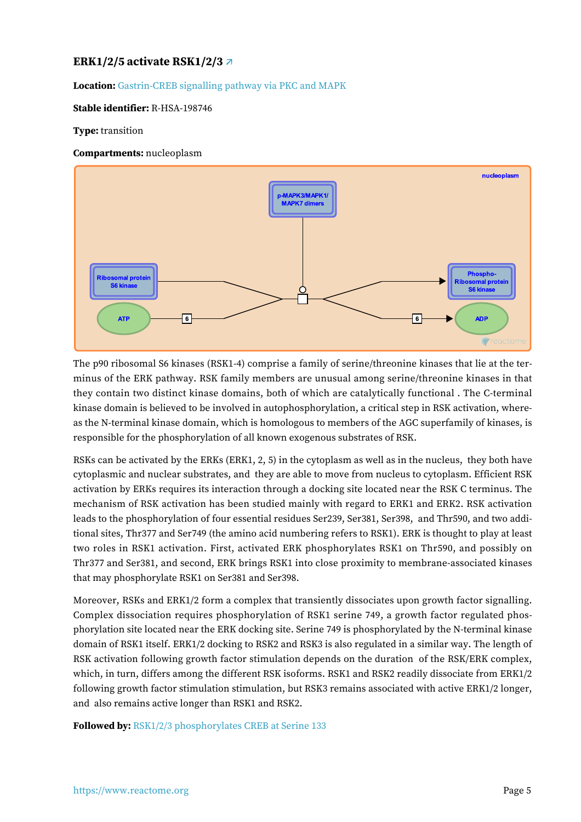# <span id="page-5-0"></span>**ERK1/2/5 activate RSK1/2/3 [↗](https://www.reactome.org/content/detail/R-HSA-198746)**

**Location:** [Gastrin-CREB signalling pathway via PKC and MAPK](#page-2-0)

#### **Stable identifier:** R-HSA-198746

#### **Type:** transition

#### **Compartments:** nucleoplasm



The p90 ribosomal S6 kinases (RSK1-4) comprise a family of serine/threonine kinases that lie at the terminus of the ERK pathway. RSK family members are unusual among serine/threonine kinases in that they contain two distinct kinase domains, both of which are catalytically functional . The C-terminal kinase domain is believed to be involved in autophosphorylation, a critical step in RSK activation, whereas the N-terminal kinase domain, which is homologous to members of the AGC superfamily of kinases, is responsible for the phosphorylation of all known exogenous substrates of RSK.

RSKs can be activated by the ERKs (ERK1, 2, 5) in the cytoplasm as well as in the nucleus, they both have cytoplasmic and nuclear substrates, and they are able to move from nucleus to cytoplasm. Efficient RSK activation by ERKs requires its interaction through a docking site located near the RSK C terminus. The mechanism of RSK activation has been studied mainly with regard to ERK1 and ERK2. RSK activation leads to the phosphorylation of four essential residues Ser239, Ser381, Ser398, and Thr590, and two additional sites, Thr377 and Ser749 (the amino acid numbering refers to RSK1). ERK is thought to play at least two roles in RSK1 activation. First, activated ERK phosphorylates RSK1 on Thr590, and possibly on Thr377 and Ser381, and second, ERK brings RSK1 into close proximity to membrane-associated kinases that may phosphorylate RSK1 on Ser381 and Ser398.

Moreover, RSKs and ERK1/2 form a complex that transiently dissociates upon growth factor signalling. Complex dissociation requires phosphorylation of RSK1 serine 749, a growth factor regulated phosphorylation site located near the ERK docking site. Serine 749 is phosphorylated by the N-terminal kinase domain of RSK1 itself. ERK1/2 docking to RSK2 and RSK3 is also regulated in a similar way. The length of RSK activation following growth factor stimulation depends on the duration of the RSK/ERK complex, which, in turn, differs among the different RSK isoforms. RSK1 and RSK2 readily dissociate from ERK1/2 following growth factor stimulation stimulation, but RSK3 remains associated with active ERK1/2 longer, and also remains active longer than RSK1 and RSK2.

**Followed by:** [RSK1/2/3 phosphorylates CREB at Serine 133](#page-7-0)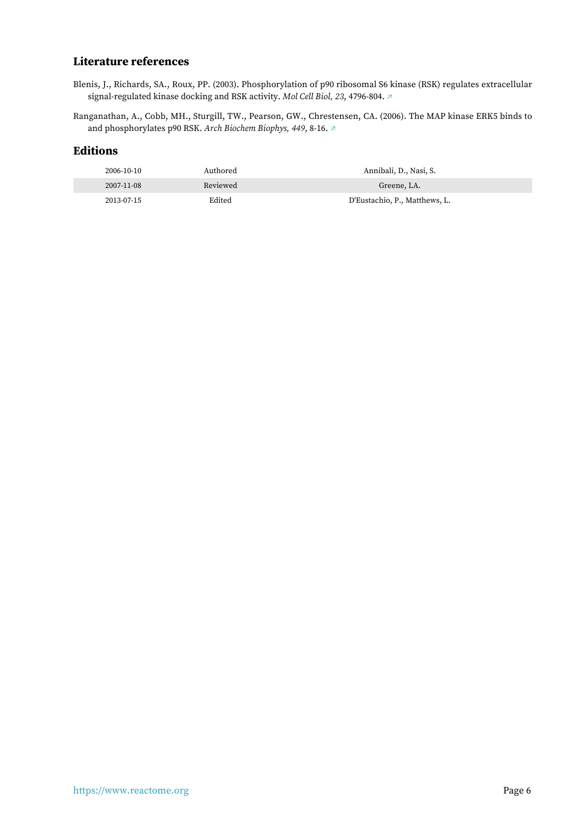# **Literature references**

- Blenis, J., Richards, SA., Roux, PP. (2003). Phosphorylation of p90 ribosomal S6 kinase (RSK) regulates extracellular signal-regulated kinase docking and RSK activity. *Mol Cell Biol, 23*, 4796-804. [↗](http://www.ncbi.nlm.nih.gov/pubmed/12832467)
- Ranganathan, A., Cobb, MH., Sturgill, TW., Pearson, GW., Chrestensen, CA. (2006). The MAP kinase ERK5 binds to and phosphorylates p90 RSK. *Arch Biochem Biophys, 449*, 8-16. [↗](http://www.ncbi.nlm.nih.gov/pubmed/16626623)

| 2006-10-10 | Authored | Annibali, D., Nasi, S.        |
|------------|----------|-------------------------------|
| 2007-11-08 | Reviewed | Greene, LA.                   |
| 2013-07-15 | Edited   | D'Eustachio, P., Matthews, L. |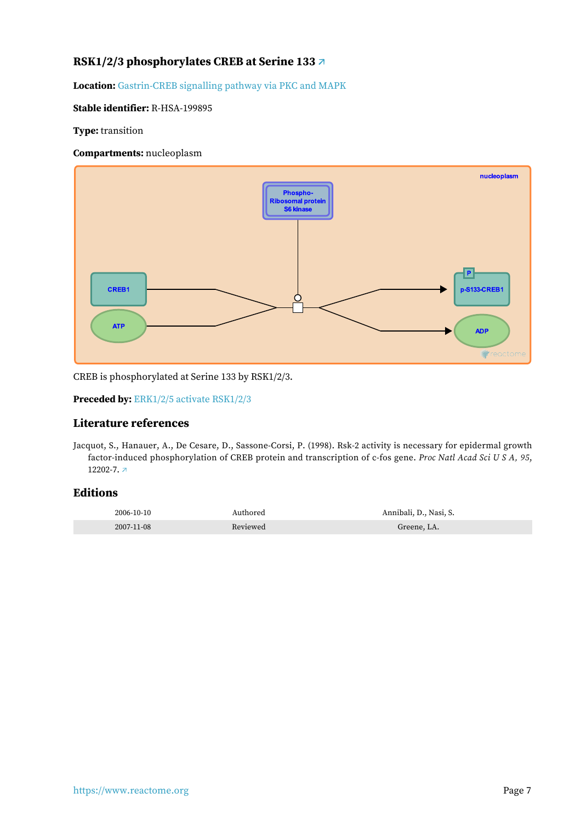# <span id="page-7-0"></span>**RSK1/2/3 phosphorylates CREB at Serine 133 [↗](https://www.reactome.org/content/detail/R-HSA-199895)**

**Location:** [Gastrin-CREB signalling pathway via PKC and MAPK](#page-2-0)

#### **Stable identifier:** R-HSA-199895

**Type:** transition

#### **Compartments:** nucleoplasm



CREB is phosphorylated at Serine 133 by RSK1/2/3.

#### **Preceded by:** [ERK1/2/5 activate RSK1/2/3](#page-5-0)

### **Literature references**

Jacquot, S., Hanauer, A., De Cesare, D., Sassone-Corsi, P. (1998). Rsk-2 activity is necessary for epidermal growth factor-induced phosphorylation of CREB protein and transcription of c-fos gene. *Proc Natl Acad Sci U S A, 95*, 12202-7. [↗](http://www.ncbi.nlm.nih.gov/pubmed/9770464)

| 2006-10-10 | Authored | Annibali, D., Nasi, S. |
|------------|----------|------------------------|
| 2007-11-08 | Reviewed | Greene. LA.            |